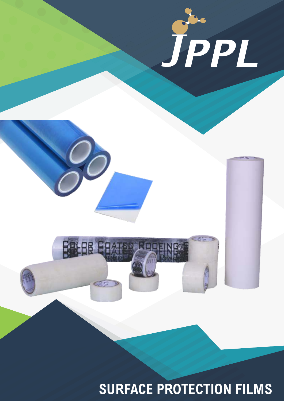

**SURFACE PROTECTION FILMS**